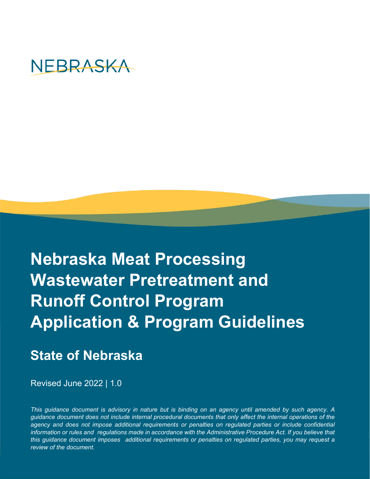

# **Nebraska Meat Processing Wastewater Pretreatment and Runoff Control Program Application & Program Guidelines**

## **State of Nebraska**

Revised June 2022 | 1.0

*This guidance document is advisory in nature but is binding on an agency until amended by such agency. A guidance document does not include internal procedural documents that only affect the internal operations of the* agency and does not impose additional requirements or penalties on requlated parties or include confidential *information or rules and regulations made in accordance with the Administrative Procedure Act. If you believe that this guidance document imposes additional requirements or penalties on regulated parties, you may request a review of the document.*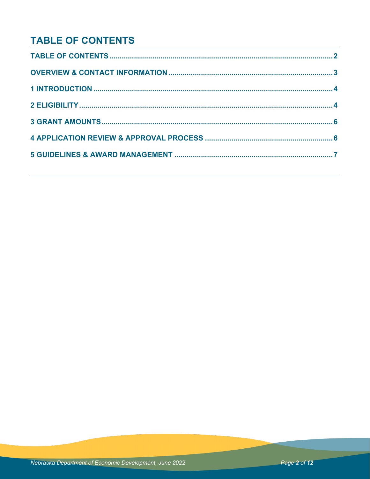## **TABLE OF CONTENTS**

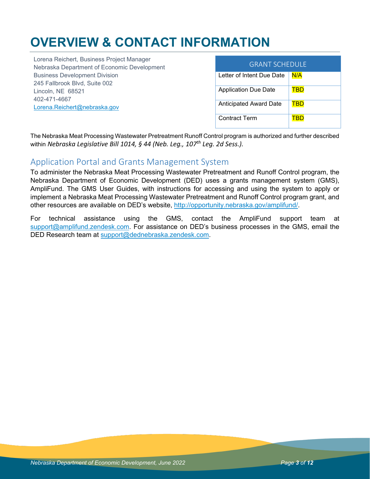## **OVERVIEW & CONTACT INFORMATION**

Lorena Reichert, Business Project Manager Nebraska Department of Economic Development Business Development Division 245 Fallbrook Blvd, Suite 002 Lincoln, NE 68521 402-471-4667 [Lorena.Reichert@nebraska.gov](mailto:Lorena.Reichert@nebraska.gov) 

| <b>GRANT SCHEDULE</b>         |     |  |  |
|-------------------------------|-----|--|--|
| Letter of Intent Due Date     | N/A |  |  |
| Application Due Date          | TBD |  |  |
| <b>Anticipated Award Date</b> | TBD |  |  |
| Contract Term                 |     |  |  |

The Nebraska Meat Processing Wastewater Pretreatment Runoff Control program is authorized and further described within *Nebraska Legislative Bill 1014, § 44 (Neb. Leg., 107th Leg. 2d Sess.).*

### Application Portal and Grants Management System

To administer the Nebraska Meat Processing Wastewater Pretreatment and Runoff Control program, the Nebraska Department of Economic Development (DED) uses a grants management system (GMS), AmpliFund. The GMS User Guides, with instructions for accessing and using the system to apply or implement a Nebraska Meat Processing Wastewater Pretreatment and Runoff Control program grant, and other resources are available on DED's website, [http://opportunity.nebraska.gov/amplifund/.](http://opportunity.nebraska.gov/amplifund/)

For technical assistance using the GMS, contact the AmpliFund support team at [support@amplifund.zendesk.com.](mailto:support@amplifund.zendesk.com) For assistance on DED's business processes in the GMS, email the DED Research team at [support@dednebraska.zendesk.com.](mailto:support@dednebraska.zendesk.com)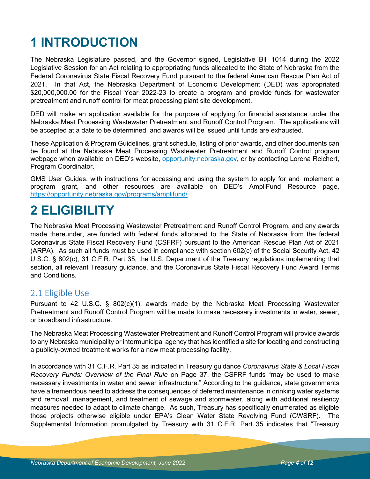## **1 INTRODUCTION**

The Nebraska Legislature passed, and the Governor signed, Legislative Bill 1014 during the 2022 Legislative Session for an Act relating to appropriating funds allocated to the State of Nebraska from the Federal Coronavirus State Fiscal Recovery Fund pursuant to the federal American Rescue Plan Act of 2021. In that Act, the Nebraska Department of Economic Development (DED) was appropriated \$20,000,000.00 for the Fiscal Year 2022-23 to create a program and provide funds for wastewater pretreatment and runoff control for meat processing plant site development.

DED will make an application available for the purpose of applying for financial assistance under the Nebraska Meat Processing Wastewater Pretreatment and Runoff Control Program. The applications will be accepted at a date to be determined, and awards will be issued until funds are exhausted.

These Application & Program Guidelines, grant schedule, listing of prior awards, and other documents can be found at the Nebraska Meat Processing Wastewater Pretreatment and Runoff Control program webpage when available on DED's website, [opportunity.nebraska.gov,](https://opportunity.nebraska.gov/) or by contacting Lorena Reichert, Program Coordinator.

GMS User Guides, with instructions for accessing and using the system to apply for and implement a program grant, and other resources are available on DED's AmpliFund Resource page, [https://opportunity.nebraska.gov/programs/amplifund/.](https://opportunity.nebraska.gov/programs/amplifund/)

## **2 ELIGIBILITY**

The Nebraska Meat Processing Wastewater Pretreatment and Runoff Control Program, and any awards made thereunder, are funded with federal funds allocated to the State of Nebraska from the federal Coronavirus State Fiscal Recovery Fund (CSFRF) pursuant to the American Rescue Plan Act of 2021 (ARPA). As such all funds must be used in compliance with section 602(c) of the Social Security Act, 42 U.S.C. § 802(c), 31 C.F.R. Part 35, the U.S. Department of the Treasury regulations implementing that section, all relevant Treasury guidance, and the Coronavirus State Fiscal Recovery Fund Award Terms and Conditions.

## 2.1 Eligible Use

Pursuant to 42 U.S.C. § 802(c)(1), awards made by the Nebraska Meat Processing Wastewater Pretreatment and Runoff Control Program will be made to make necessary investments in water, sewer, or broadband infrastructure.

The Nebraska Meat Processing Wastewater Pretreatment and Runoff Control Program will provide awards to any Nebraska municipality or intermunicipal agency that has identified a site for locating and constructing a publicly-owned treatment works for a new meat processing facility.

In accordance with 31 C.F.R. Part 35 as indicated in Treasury guidance *Coronavirus State & Local Fiscal Recovery Funds: Overview of the Final Rule* on Page 37, the CSFRF funds "may be used to make necessary investments in water and sewer infrastructure." According to the guidance, state governments have a tremendous need to address the consequences of deferred maintenance in drinking water systems and removal, management, and treatment of sewage and stormwater, along with additional resiliency measures needed to adapt to climate change. As such, Treasury has specifically enumerated as eligible those projects otherwise eligible under EPA's Clean Water State Revolving Fund (CWSRF). The Supplemental Information promulgated by Treasury with 31 C.F.R. Part 35 indicates that "Treasury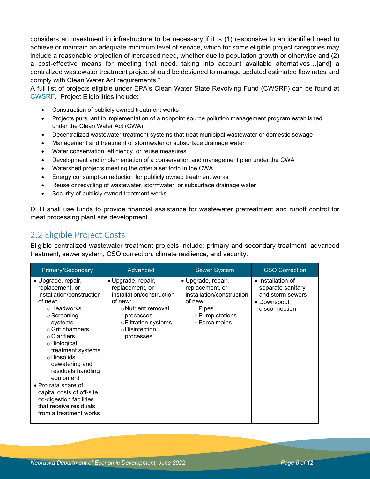considers an investment in infrastructure to be necessary if it is (1) responsive to an identified need to achieve or maintain an adequate minimum level of service, which for some eligible project categories may include a reasonable projection of increased need, whether due to population growth or otherwise and (2) a cost-effective means for meeting that need, taking into account available alternatives…[and] a centralized wastewater treatment project should be designed to manage updated estimated flow rates and comply with Clean Water Act requirements."

A full list of projects eligible under EPA's Clean Water State Revolving Fund (CWSRF) can be found at [CWSRF.](https://www.epa.gov/sites/default/files/2016-07/documents/overview_of_cwsrf_eligibilities_may_2016.pdf) Project Eligibilities include:

- Construction of publicly owned treatment works
- Projects pursuant to implementation of a nonpoint source pollution management program established under the Clean Water Act (CWA)
- Decentralized wastewater treatment systems that treat municipal wastewater or domestic sewage
- Management and treatment of stormwater or subsurface drainage water
- Water conservation, efficiency, or reuse measures
- Development and implementation of a conservation and management plan under the CWA
- Watershed projects meeting the criteria set forth in the CWA
- Energy consumption reduction for publicly owned treatment works
- Reuse or recycling of wastewater, stormwater, or subsurface drainage water
- Security of publicly owned treatment works

DED shall use funds to provide financial assistance for wastewater pretreatment and runoff control for meat processing plant site development.

## 2.2 Eligible Project Costs

Eligible centralized wastewater treatment projects include: primary and secondary treatment, advanced treatment, sewer system, CSO correction, climate resilience, and security.

| Primary/Secondary                                                                                                                                                                                                                                                                                                                                                                                                             | Advanced                                                                                                                                                                      | <b>Sewer System</b>                                                                                                                | <b>CSO Correction</b>                                                                      |
|-------------------------------------------------------------------------------------------------------------------------------------------------------------------------------------------------------------------------------------------------------------------------------------------------------------------------------------------------------------------------------------------------------------------------------|-------------------------------------------------------------------------------------------------------------------------------------------------------------------------------|------------------------------------------------------------------------------------------------------------------------------------|--------------------------------------------------------------------------------------------|
| • Upgrade, repair,<br>replacement, or<br>installation/construction<br>of new:<br>⊙ Headworks<br>$\circ$ Screening<br>systems<br>$\circ$ Grit chambers<br>$\circ$ Clarifiers<br>⊙ Biological<br>treatment systems<br>$\circ$ Biosolids<br>dewatering and<br>residuals handling<br>equipment<br>• Pro rata share of<br>capital costs of off-site<br>co-digestion facilities<br>that receive residuals<br>from a treatment works | • Upgrade, repair,<br>replacement, or<br>installation/construction<br>of new:<br>⊙ Nutrient removal<br>processes<br>○ Filtration systems<br>$\circ$ Disinfection<br>processes | • Upgrade, repair,<br>replacement, or<br>installation/construction<br>of new:<br>$\circ$ Pipes<br>○ Pump stations<br>⊙ Force mains | • Installation of<br>separate sanitary<br>and storm sewers<br>• Downspout<br>disconnection |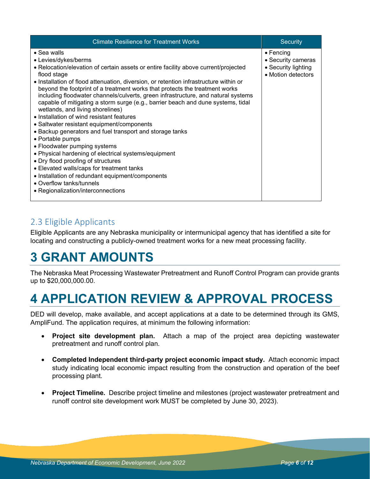| <b>Climate Resilience for Treatment Works</b>                                                                                                                                                                                                                                                                                                                                                                                                                                                                                                                                                                                                                                                                                                                                                                                                                                                                                                                                                                      | Security                                                                             |
|--------------------------------------------------------------------------------------------------------------------------------------------------------------------------------------------------------------------------------------------------------------------------------------------------------------------------------------------------------------------------------------------------------------------------------------------------------------------------------------------------------------------------------------------------------------------------------------------------------------------------------------------------------------------------------------------------------------------------------------------------------------------------------------------------------------------------------------------------------------------------------------------------------------------------------------------------------------------------------------------------------------------|--------------------------------------------------------------------------------------|
| $\bullet$ Sea walls<br>• Levies/dykes/berms<br>• Relocation/elevation of certain assets or entire facility above current/projected<br>flood stage<br>• Installation of flood attenuation, diversion, or retention infrastructure within or<br>beyond the footprint of a treatment works that protects the treatment works<br>including floodwater channels/culverts, green infrastructure, and natural systems<br>capable of mitigating a storm surge (e.g., barrier beach and dune systems, tidal<br>wetlands, and living shorelines)<br>• Installation of wind resistant features<br>• Saltwater resistant equipment/components<br>• Backup generators and fuel transport and storage tanks<br>• Portable pumps<br>• Floodwater pumping systems<br>• Physical hardening of electrical systems/equipment<br>• Dry flood proofing of structures<br>• Elevated walls/caps for treatment tanks<br>• Installation of redundant equipment/components<br>• Overflow tanks/tunnels<br>• Regionalization/interconnections | $\bullet$ Fencing<br>• Security cameras<br>• Security lighting<br>• Motion detectors |

## 2.3 Eligible Applicants

Eligible Applicants are any Nebraska municipality or intermunicipal agency that has identified a site for locating and constructing a publicly-owned treatment works for a new meat processing facility.

## **3 GRANT AMOUNTS**

The Nebraska Meat Processing Wastewater Pretreatment and Runoff Control Program can provide grants up to \$20,000,000.00.

## **4 APPLICATION REVIEW & APPROVAL PROCESS**

DED will develop, make available, and accept applications at a date to be determined through its GMS, AmpliFund. The application requires, at minimum the following information:

- **Project site development plan.** Attach a map of the project area depicting wastewater pretreatment and runoff control plan.
- **Completed Independent third-party project economic impact study.** Attach economic impact study indicating local economic impact resulting from the construction and operation of the beef processing plant.
- **Project Timeline.** Describe project timeline and milestones (project wastewater pretreatment and runoff control site development work MUST be completed by June 30, 2023).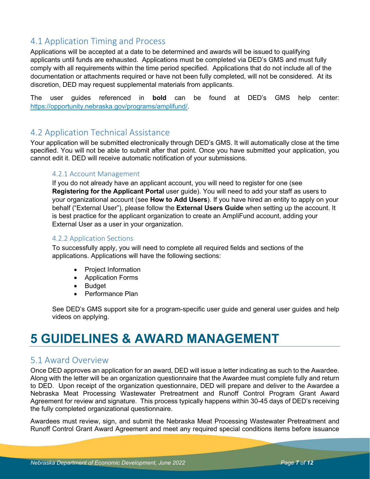## 4.1 Application Timing and Process

Applications will be accepted at a date to be determined and awards will be issued to qualifying applicants until funds are exhausted. Applications must be completed via DED's GMS and must fully comply with all requirements within the time period specified. Applications that do not include all of the documentation or attachments required or have not been fully completed, will not be considered. At its discretion, DED may request supplemental materials from applicants.

The user guides referenced in **bold** can be found at DED's GMS help center: [https://opportunity.nebraska.gov/programs/amplifund/.](https://opportunity.nebraska.gov/programs/amplifund/)

### 4.2 Application Technical Assistance

Your application will be submitted electronically through DED's GMS. It will automatically close at the time specified. You will not be able to submit after that point. Once you have submitted your application, you cannot edit it. DED will receive automatic notification of your submissions.

#### 4.2.1 Account Management

If you do not already have an applicant account, you will need to register for one (see **Registering for the Applicant Portal** user guide). You will need to add your staff as users to your organizational account (see **How to Add Users**). If you have hired an entity to apply on your behalf ("External User"), please follow the **External Users Guide** when setting up the account. It is best practice for the applicant organization to create an AmpliFund account, adding your External User as a user in your organization.

#### 4.2.2 Application Sections

To successfully apply, you will need to complete all required fields and sections of the applications. Applications will have the following sections:

- Project Information
- Application Forms
- Budget
- Performance Plan

See DED's GMS support site for a program-specific user guide and general user guides and help videos on applying.

## **5 GUIDELINES & AWARD MANAGEMENT**

### 5.1 Award Overview

Once DED approves an application for an award, DED will issue a letter indicating as such to the Awardee. Along with the letter will be an organization questionnaire that the Awardee must complete fully and return to DED. Upon receipt of the organization questionnaire, DED will prepare and deliver to the Awardee a Nebraska Meat Processing Wastewater Pretreatment and Runoff Control Program Grant Award Agreement for review and signature. This process typically happens within 30-45 days of DED's receiving the fully completed organizational questionnaire.

Awardees must review, sign, and submit the Nebraska Meat Processing Wastewater Pretreatment and Runoff Control Grant Award Agreement and meet any required special conditions items before issuance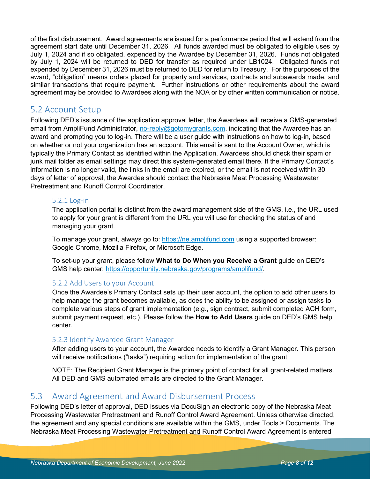of the first disbursement. Award agreements are issued for a performance period that will extend from the agreement start date until December 31, 2026. All funds awarded must be obligated to eligible uses by July 1, 2024 and if so obligated, expended by the Awardee by December 31, 2026. Funds not obligated by July 1, 2024 will be returned to DED for transfer as required under LB1024. Obligated funds not expended by December 31, 2026 must be returned to DED for return to Treasury. For the purposes of the award, "obligation" means orders placed for property and services, contracts and subawards made, and similar transactions that require payment. Further instructions or other requirements about the award agreement may be provided to Awardees along with the NOA or by other written communication or notice.

### 5.2 Account Setup

Following DED's issuance of the application approval letter, the Awardees will receive a GMS-generated email from AmpliFund Administrator, [no-reply@gotomygrants.com,](mailto:no-reply@gotomygrants.com) indicating that the Awardee has an award and prompting you to log-in. There will be a user guide with instructions on how to log-in, based on whether or not your organization has an account. This email is sent to the Account Owner, which is typically the Primary Contact as identified within the Application. Awardees should check their spam or junk mail folder as email settings may direct this system-generated email there. If the Primary Contact's information is no longer valid, the links in the email are expired, or the email is not received within 30 days of letter of approval, the Awardee should contact the Nebraska Meat Processing Wastewater Pretreatment and Runoff Control Coordinator.

#### 5.2.1 Log-in

The application portal is distinct from the award management side of the GMS, i.e., the URL used to apply for your grant is different from the URL you will use for checking the status of and managing your grant.

To manage your grant, always go to: [https://ne.amplifund.com](https://ne.amplifund.com/) using a supported browser: Google Chrome, Mozilla Firefox, or Microsoft Edge.

To set-up your grant, please follow **What to Do When you Receive a Grant** guide on DED's GMS help center: [https://opportunity.nebraska.gov/programs/amplifund/.](https://opportunity.nebraska.gov/programs/amplifund/)

#### 5.2.2 Add Users to your Account

Once the Awardee's Primary Contact sets up their user account, the option to add other users to help manage the grant becomes available, as does the ability to be assigned or assign tasks to complete various steps of grant implementation (e.g., sign contract, submit completed ACH form, submit payment request, etc.). Please follow the **How to Add Users** guide on DED's GMS help center.

#### 5.2.3 Identify Awardee Grant Manager

After adding users to your account, the Awardee needs to identify a Grant Manager. This person will receive notifications ("tasks") requiring action for implementation of the grant.

NOTE: The Recipient Grant Manager is the primary point of contact for all grant-related matters. All DED and GMS automated emails are directed to the Grant Manager.

### 5.3 Award Agreement and Award Disbursement Process

Following DED's letter of approval, DED issues via DocuSign an electronic copy of the Nebraska Meat Processing Wastewater Pretreatment and Runoff Control Award Agreement. Unless otherwise directed, the agreement and any special conditions are available within the GMS, under Tools > Documents. The Nebraska Meat Processing Wastewater Pretreatment and Runoff Control Award Agreement is entered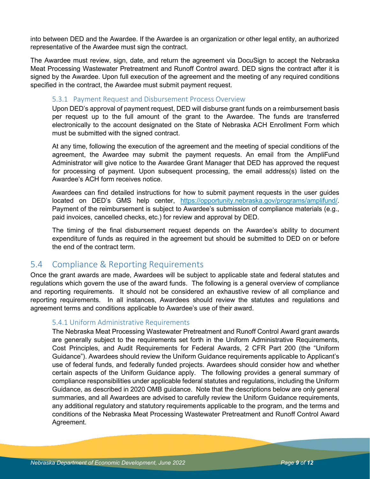into between DED and the Awardee. If the Awardee is an organization or other legal entity, an authorized representative of the Awardee must sign the contract.

The Awardee must review, sign, date, and return the agreement via DocuSign to accept the Nebraska Meat Processing Wastewater Pretreatment and Runoff Control award. DED signs the contract after it is signed by the Awardee. Upon full execution of the agreement and the meeting of any required conditions specified in the contract, the Awardee must submit payment request.

#### 5.3.1 Payment Request and Disbursement Process Overview

Upon DED's approval of payment request, DED will disburse grant funds on a reimbursement basis per request up to the full amount of the grant to the Awardee. The funds are transferred electronically to the account designated on the State of Nebraska ACH Enrollment Form which must be submitted with the signed contract.

At any time, following the execution of the agreement and the meeting of special conditions of the agreement, the Awardee may submit the payment requests. An email from the AmpliFund Administrator will give notice to the Awardee Grant Manager that DED has approved the request for processing of payment. Upon subsequent processing, the email address(s) listed on the Awardee's ACH form receives notice.

Awardees can find detailed instructions for how to submit payment requests in the user guides located on DED's GMS help center, [https://opportunity.nebraska.gov/programs/amplifund/.](https://opportunity.nebraska.gov/programs/amplifund/) Payment of the reimbursement is subject to Awardee's submission of compliance materials (e.g., paid invoices, cancelled checks, etc.) for review and approval by DED.

The timing of the final disbursement request depends on the Awardee's ability to document expenditure of funds as required in the agreement but should be submitted to DED on or before the end of the contract term.

### 5.4 Compliance & Reporting Requirements

Once the grant awards are made, Awardees will be subject to applicable state and federal statutes and regulations which govern the use of the award funds. The following is a general overview of compliance and reporting requirements. It should not be considered an exhaustive review of all compliance and reporting requirements. In all instances, Awardees should review the statutes and regulations and agreement terms and conditions applicable to Awardee's use of their award.

#### 5.4.1 Uniform Administrative Requirements

The Nebraska Meat Processing Wastewater Pretreatment and Runoff Control Award grant awards are generally subject to the requirements set forth in the Uniform Administrative Requirements, Cost Principles, and Audit Requirements for Federal Awards, 2 CFR Part 200 (the "Uniform Guidance"). Awardees should review the Uniform Guidance requirements applicable to Applicant's use of federal funds, and federally funded projects. Awardees should consider how and whether certain aspects of the Uniform Guidance apply. The following provides a general summary of compliance responsibilities under applicable federal statutes and regulations, including the Uniform Guidance, as described in 2020 OMB guidance. Note that the descriptions below are only general summaries, and all Awardees are advised to carefully review the Uniform Guidance requirements, any additional regulatory and statutory requirements applicable to the program, and the terms and conditions of the Nebraska Meat Processing Wastewater Pretreatment and Runoff Control Award Agreement.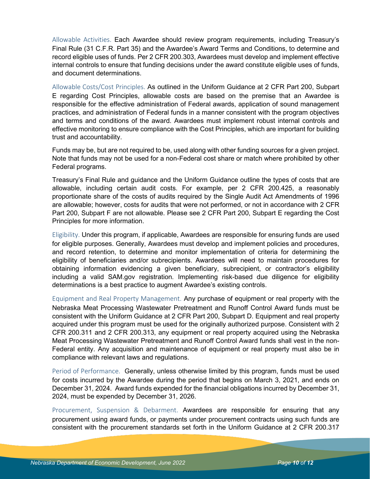Allowable Activities. Each Awardee should review program requirements, including Treasury's Final Rule (31 C.F.R. Part 35) and the Awardee's Award Terms and Conditions, to determine and record eligible uses of funds. Per 2 CFR 200.303, Awardees must develop and implement effective internal controls to ensure that funding decisions under the award constitute eligible uses of funds, and document determinations.

Allowable Costs/Cost Principles. As outlined in the Uniform Guidance at 2 CFR Part 200, Subpart E regarding Cost Principles, allowable costs are based on the premise that an Awardee is responsible for the effective administration of Federal awards, application of sound management practices, and administration of Federal funds in a manner consistent with the program objectives and terms and conditions of the award. Awardees must implement robust internal controls and effective monitoring to ensure compliance with the Cost Principles, which are important for building trust and accountability.

Funds may be, but are not required to be, used along with other funding sources for a given project. Note that funds may not be used for a non-Federal cost share or match where prohibited by other Federal programs.

Treasury's Final Rule and guidance and the Uniform Guidance outline the types of costs that are allowable, including certain audit costs. For example, per 2 CFR 200.425, a reasonably proportionate share of the costs of audits required by the Single Audit Act Amendments of 1996 are allowable; however, costs for audits that were not performed, or not in accordance with 2 CFR Part 200, Subpart F are not allowable. Please see 2 CFR Part 200, Subpart E regarding the Cost Principles for more information.

Eligibility. Under this program, if applicable, Awardees are responsible for ensuring funds are used for eligible purposes. Generally, Awardees must develop and implement policies and procedures, and record retention, to determine and monitor implementation of criteria for determining the eligibility of beneficiaries and/or subrecipients. Awardees will need to maintain procedures for obtaining information evidencing a given beneficiary, subrecipient, or contractor's eligibility including a valid SAM.gov registration. Implementing risk-based due diligence for eligibility determinations is a best practice to augment Awardee's existing controls.

Equipment and Real Property Management. Any purchase of equipment or real property with the Nebraska Meat Processing Wastewater Pretreatment and Runoff Control Award funds must be consistent with the Uniform Guidance at 2 CFR Part 200, Subpart D. Equipment and real property acquired under this program must be used for the originally authorized purpose. Consistent with 2 CFR 200.311 and 2 CFR 200.313, any equipment or real property acquired using the Nebraska Meat Processing Wastewater Pretreatment and Runoff Control Award funds shall vest in the non-Federal entity. Any acquisition and maintenance of equipment or real property must also be in compliance with relevant laws and regulations.

Period of Performance. Generally, unless otherwise limited by this program, funds must be used for costs incurred by the Awardee during the period that begins on March 3, 2021, and ends on December 31, 2024. Award funds expended for the financial obligations incurred by December 31, 2024, must be expended by December 31, 2026.

Procurement, Suspension & Debarment. Awardees are responsible for ensuring that any procurement using award funds, or payments under procurement contracts using such funds are consistent with the procurement standards set forth in the Uniform Guidance at 2 CFR 200.317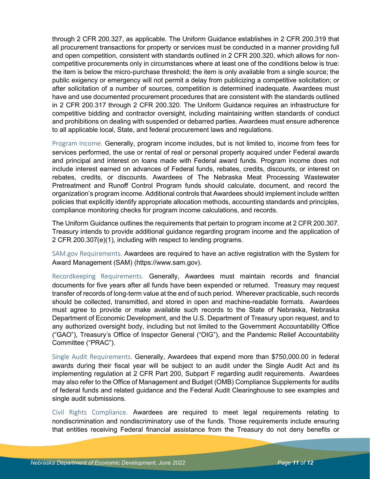through 2 CFR 200.327, as applicable. The Uniform Guidance establishes in 2 CFR 200.319 that all procurement transactions for property or services must be conducted in a manner providing full and open competition, consistent with standards outlined in 2 CFR 200.320, which allows for noncompetitive procurements only in circumstances where at least one of the conditions below is true: the item is below the micro-purchase threshold; the item is only available from a single source; the public exigency or emergency will not permit a delay from publicizing a competitive solicitation; or after solicitation of a number of sources, competition is determined inadequate. Awardees must have and use documented procurement procedures that are consistent with the standards outlined in 2 CFR 200.317 through 2 CFR 200.320. The Uniform Guidance requires an infrastructure for competitive bidding and contractor oversight, including maintaining written standards of conduct and prohibitions on dealing with suspended or debarred parties. Awardees must ensure adherence to all applicable local, State, and federal procurement laws and regulations.

Program Income. Generally, program income includes, but is not limited to, income from fees for services performed, the use or rental of real or personal property acquired under Federal awards and principal and interest on loans made with Federal award funds. Program income does not include interest earned on advances of Federal funds, rebates, credits, discounts, or interest on rebates, credits, or discounts. Awardees of The Nebraska Meat Processing Wastewater Pretreatment and Runoff Control Program funds should calculate, document, and record the organization's program income. Additional controls that Awardees should implement include written policies that explicitly identify appropriate allocation methods, accounting standards and principles, compliance monitoring checks for program income calculations, and records.

The Uniform Guidance outlines the requirements that pertain to program income at 2 CFR 200.307. Treasury intends to provide additional guidance regarding program income and the application of 2 CFR 200.307(e)(1), including with respect to lending programs.

SAM.gov Requirements. Awardees are required to have an active registration with the System for Award Management (SAM) (https://www.sam.gov).

Recordkeeping Requirements. Generally, Awardees must maintain records and financial documents for five years after all funds have been expended or returned. Treasury may request transfer of records of long-term value at the end of such period. Wherever practicable, such records should be collected, transmitted, and stored in open and machine-readable formats. Awardees must agree to provide or make available such records to the State of Nebraska, Nebraska Department of Economic Development, and the U.S. Department of Treasury upon request, and to any authorized oversight body, including but not limited to the Government Accountability Office ("GAO"), Treasury's Office of Inspector General ("OIG"), and the Pandemic Relief Accountability Committee ("PRAC").

Single Audit Requirements. Generally, Awardees that expend more than \$750,000.00 in federal awards during their fiscal year will be subject to an audit under the Single Audit Act and its implementing regulation at 2 CFR Part 200, Subpart F regarding audit requirements. Awardees may also refer to the Office of Management and Budget (OMB) Compliance Supplements for audits of federal funds and related guidance and the Federal Audit Clearinghouse to see examples and single audit submissions.

Civil Rights Compliance. Awardees are required to meet legal requirements relating to nondiscrimination and nondiscriminatory use of the funds. Those requirements include ensuring that entities receiving Federal financial assistance from the Treasury do not deny benefits or